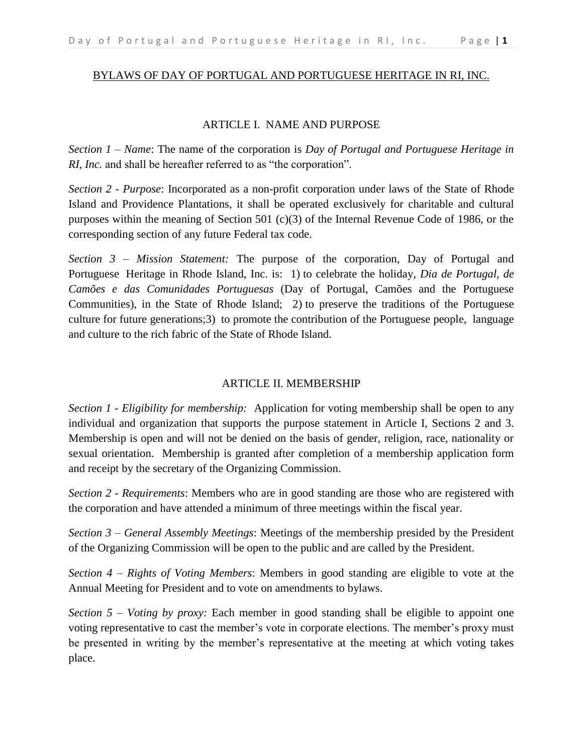# BYLAWS OF DAY OF PORTUGAL AND PORTUGUESE HERITAGE IN RI, INC.

### ARTICLE I. NAME AND PURPOSE

*Section 1 – Name*: The name of the corporation is *Day of Portugal and Portuguese Heritage in RI, Inc.* and shall be hereafter referred to as "the corporation".

*Section 2 - Purpose*: Incorporated as a non-profit corporation under laws of the State of Rhode Island and Providence Plantations, it shall be operated exclusively for charitable and cultural purposes within the meaning of Section 501 (c)(3) of the Internal Revenue Code of 1986, or the corresponding section of any future Federal tax code.

*Section 3 – Mission Statement:* The purpose of the corporation, Day of Portugal and Portuguese Heritage in Rhode Island, Inc. is: 1) to celebrate the holiday, *Dia de Portugal, de Camões e das Comunidades Portuguesas* (Day of Portugal, Camões and the Portuguese Communities), in the State of Rhode Island; 2) to preserve the traditions of the Portuguese culture for future generations;3) to promote the contribution of the Portuguese people, language and culture to the rich fabric of the State of Rhode Island.

## ARTICLE II. MEMBERSHIP

*Section 1 - Eligibility for membership:* Application for voting membership shall be open to any individual and organization that supports the purpose statement in Article I, Sections 2 and 3. Membership is open and will not be denied on the basis of gender, religion, race, nationality or sexual orientation. Membership is granted after completion of a membership application form and receipt by the secretary of the Organizing Commission.

*Section 2 - Requirements*: Members who are in good standing are those who are registered with the corporation and have attended a minimum of three meetings within the fiscal year.

*Section 3 – General Assembly Meetings*: Meetings of the membership presided by the President of the Organizing Commission will be open to the public and are called by the President.

*Section 4 – Rights of Voting Members*: Members in good standing are eligible to vote at the Annual Meeting for President and to vote on amendments to bylaws.

*Section 5 – Voting by proxy:* Each member in good standing shall be eligible to appoint one voting representative to cast the member's vote in corporate elections. The member's proxy must be presented in writing by the member's representative at the meeting at which voting takes place.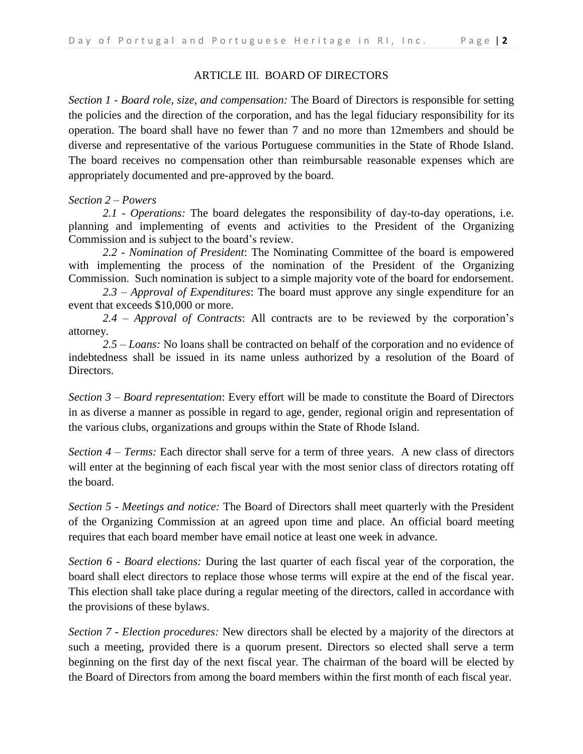# ARTICLE III. BOARD OF DIRECTORS

*Section 1 - Board role, size, and compensation:* The Board of Directors is responsible for setting the policies and the direction of the corporation, and has the legal fiduciary responsibility for its operation. The board shall have no fewer than 7 and no more than 12members and should be diverse and representative of the various Portuguese communities in the State of Rhode Island. The board receives no compensation other than reimbursable reasonable expenses which are appropriately documented and pre-approved by the board.

## *Section 2 – Powers*

*2.1 - Operations:* The board delegates the responsibility of day-to-day operations, i.e. planning and implementing of events and activities to the President of the Organizing Commission and is subject to the board's review.

*2.2 - Nomination of President*: The Nominating Committee of the board is empowered with implementing the process of the nomination of the President of the Organizing Commission. Such nomination is subject to a simple majority vote of the board for endorsement.

*2.3 – Approval of Expenditures*: The board must approve any single expenditure for an event that exceeds \$10,000 or more.

*2.4 – Approval of Contracts*: All contracts are to be reviewed by the corporation's attorney.

*2.5 – Loans:* No loans shall be contracted on behalf of the corporation and no evidence of indebtedness shall be issued in its name unless authorized by a resolution of the Board of Directors.

*Section 3 – Board representation*: Every effort will be made to constitute the Board of Directors in as diverse a manner as possible in regard to age, gender, regional origin and representation of the various clubs, organizations and groups within the State of Rhode Island.

*Section 4 – Terms:* Each director shall serve for a term of three years. A new class of directors will enter at the beginning of each fiscal year with the most senior class of directors rotating off the board.

*Section 5 - Meetings and notice:* The Board of Directors shall meet quarterly with the President of the Organizing Commission at an agreed upon time and place. An official board meeting requires that each board member have email notice at least one week in advance.

*Section 6 - Board elections:* During the last quarter of each fiscal year of the corporation, the board shall elect directors to replace those whose terms will expire at the end of the fiscal year. This election shall take place during a regular meeting of the directors, called in accordance with the provisions of these bylaws.

*Section 7 - Election procedures:* New directors shall be elected by a majority of the directors at such a meeting, provided there is a quorum present. Directors so elected shall serve a term beginning on the first day of the next fiscal year. The chairman of the board will be elected by the Board of Directors from among the board members within the first month of each fiscal year.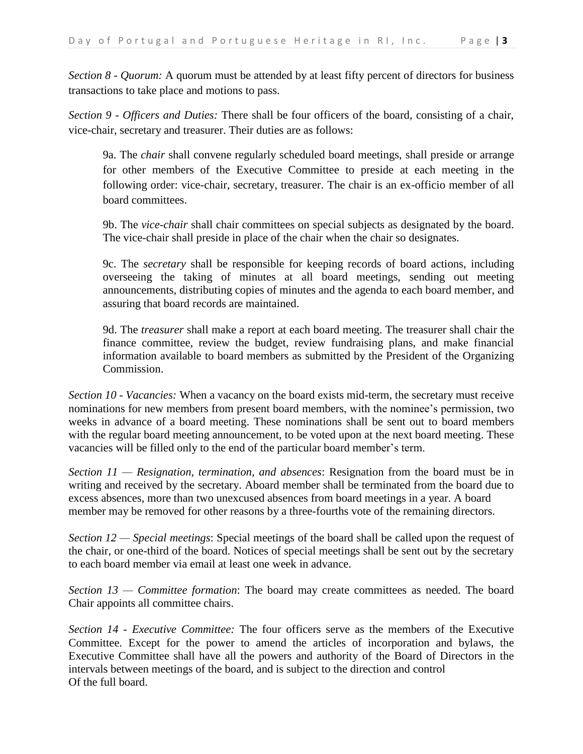*Section 8 - Quorum:* A quorum must be attended by at least fifty percent of directors for business transactions to take place and motions to pass.

*Section 9 - Officers and Duties:* There shall be four officers of the board, consisting of a chair, vice-chair, secretary and treasurer. Their duties are as follows:

9a. The *chair* shall convene regularly scheduled board meetings, shall preside or arrange for other members of the Executive Committee to preside at each meeting in the following order: vice-chair, secretary, treasurer. The chair is an ex-officio member of all board committees.

9b. The *vice-chair* shall chair committees on special subjects as designated by the board. The vice-chair shall preside in place of the chair when the chair so designates.

9c. The *secretary* shall be responsible for keeping records of board actions, including overseeing the taking of minutes at all board meetings, sending out meeting announcements, distributing copies of minutes and the agenda to each board member, and assuring that board records are maintained.

9d. The *treasurer* shall make a report at each board meeting. The treasurer shall chair the finance committee, review the budget, review fundraising plans, and make financial information available to board members as submitted by the President of the Organizing Commission.

*Section 10 - Vacancies:* When a vacancy on the board exists mid-term, the secretary must receive nominations for new members from present board members, with the nominee's permission, two weeks in advance of a board meeting. These nominations shall be sent out to board members with the regular board meeting announcement, to be voted upon at the next board meeting. These vacancies will be filled only to the end of the particular board member's term.

*Section 11 — Resignation, termination, and absences*: Resignation from the board must be in writing and received by the secretary. Aboard member shall be terminated from the board due to excess absences, more than two unexcused absences from board meetings in a year. A board member may be removed for other reasons by a three-fourths vote of the remaining directors.

*Section 12 — Special meetings*: Special meetings of the board shall be called upon the request of the chair, or one-third of the board. Notices of special meetings shall be sent out by the secretary to each board member via email at least one week in advance.

*Section 13 — Committee formation*: The board may create committees as needed. The board Chair appoints all committee chairs.

*Section 14 - Executive Committee:* The four officers serve as the members of the Executive Committee. Except for the power to amend the articles of incorporation and bylaws, the Executive Committee shall have all the powers and authority of the Board of Directors in the intervals between meetings of the board, and is subject to the direction and control Of the full board.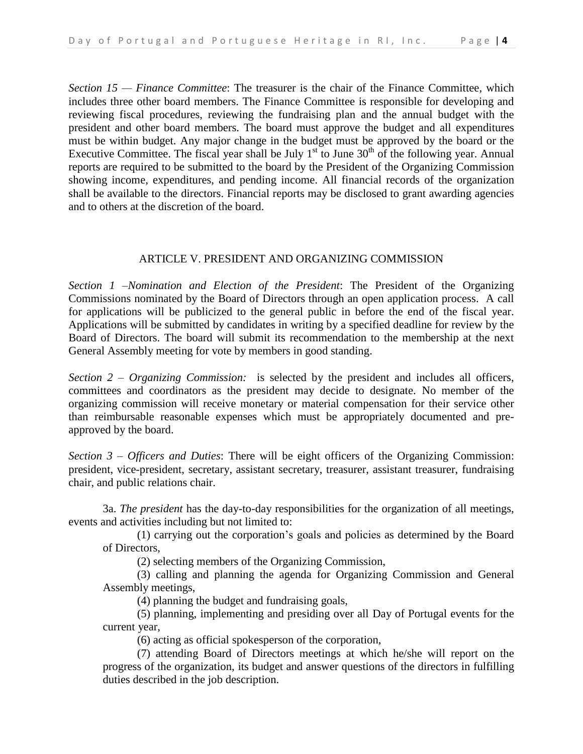*Section 15 — Finance Committee*: The treasurer is the chair of the Finance Committee, which includes three other board members. The Finance Committee is responsible for developing and reviewing fiscal procedures, reviewing the fundraising plan and the annual budget with the president and other board members. The board must approve the budget and all expenditures must be within budget. Any major change in the budget must be approved by the board or the Executive Committee. The fiscal year shall be July  $1<sup>st</sup>$  to June 30<sup>th</sup> of the following year. Annual reports are required to be submitted to the board by the President of the Organizing Commission showing income, expenditures, and pending income. All financial records of the organization shall be available to the directors. Financial reports may be disclosed to grant awarding agencies and to others at the discretion of the board.

### ARTICLE V. PRESIDENT AND ORGANIZING COMMISSION

*Section 1 –Nomination and Election of the President*: The President of the Organizing Commissions nominated by the Board of Directors through an open application process. A call for applications will be publicized to the general public in before the end of the fiscal year. Applications will be submitted by candidates in writing by a specified deadline for review by the Board of Directors. The board will submit its recommendation to the membership at the next General Assembly meeting for vote by members in good standing.

*Section 2 – Organizing Commission:* is selected by the president and includes all officers, committees and coordinators as the president may decide to designate. No member of the organizing commission will receive monetary or material compensation for their service other than reimbursable reasonable expenses which must be appropriately documented and preapproved by the board.

*Section 3 – Officers and Duties*: There will be eight officers of the Organizing Commission: president, vice-president, secretary, assistant secretary, treasurer, assistant treasurer, fundraising chair, and public relations chair.

3a. *The president* has the day-to-day responsibilities for the organization of all meetings, events and activities including but not limited to:

(1) carrying out the corporation's goals and policies as determined by the Board of Directors,

(2) selecting members of the Organizing Commission,

(3) calling and planning the agenda for Organizing Commission and General Assembly meetings,

(4) planning the budget and fundraising goals,

(5) planning, implementing and presiding over all Day of Portugal events for the current year,

(6) acting as official spokesperson of the corporation,

(7) attending Board of Directors meetings at which he/she will report on the progress of the organization, its budget and answer questions of the directors in fulfilling duties described in the job description.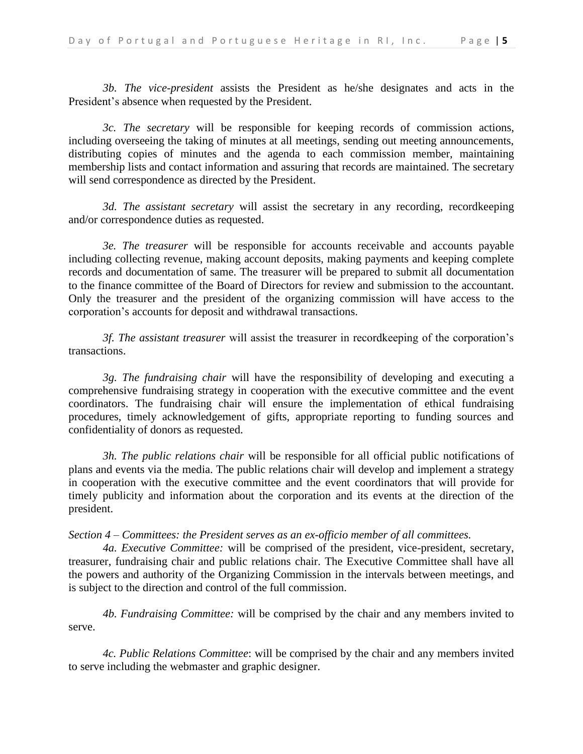*3b. The vice-president* assists the President as he/she designates and acts in the President's absence when requested by the President.

*3c. The secretary* will be responsible for keeping records of commission actions, including overseeing the taking of minutes at all meetings, sending out meeting announcements, distributing copies of minutes and the agenda to each commission member, maintaining membership lists and contact information and assuring that records are maintained. The secretary will send correspondence as directed by the President.

*3d. The assistant secretary* will assist the secretary in any recording, recordkeeping and/or correspondence duties as requested.

*3e. The treasurer* will be responsible for accounts receivable and accounts payable including collecting revenue, making account deposits, making payments and keeping complete records and documentation of same. The treasurer will be prepared to submit all documentation to the finance committee of the Board of Directors for review and submission to the accountant. Only the treasurer and the president of the organizing commission will have access to the corporation's accounts for deposit and withdrawal transactions.

*3f. The assistant treasurer* will assist the treasurer in recordkeeping of the corporation's transactions.

*3g. The fundraising chair* will have the responsibility of developing and executing a comprehensive fundraising strategy in cooperation with the executive committee and the event coordinators. The fundraising chair will ensure the implementation of ethical fundraising procedures, timely acknowledgement of gifts, appropriate reporting to funding sources and confidentiality of donors as requested.

*3h. The public relations chair* will be responsible for all official public notifications of plans and events via the media. The public relations chair will develop and implement a strategy in cooperation with the executive committee and the event coordinators that will provide for timely publicity and information about the corporation and its events at the direction of the president.

*Section 4 – Committees: the President serves as an ex-officio member of all committees.*

*4a. Executive Committee:* will be comprised of the president, vice-president, secretary, treasurer, fundraising chair and public relations chair. The Executive Committee shall have all the powers and authority of the Organizing Commission in the intervals between meetings, and is subject to the direction and control of the full commission.

*4b. Fundraising Committee:* will be comprised by the chair and any members invited to serve.

*4c. Public Relations Committee*: will be comprised by the chair and any members invited to serve including the webmaster and graphic designer.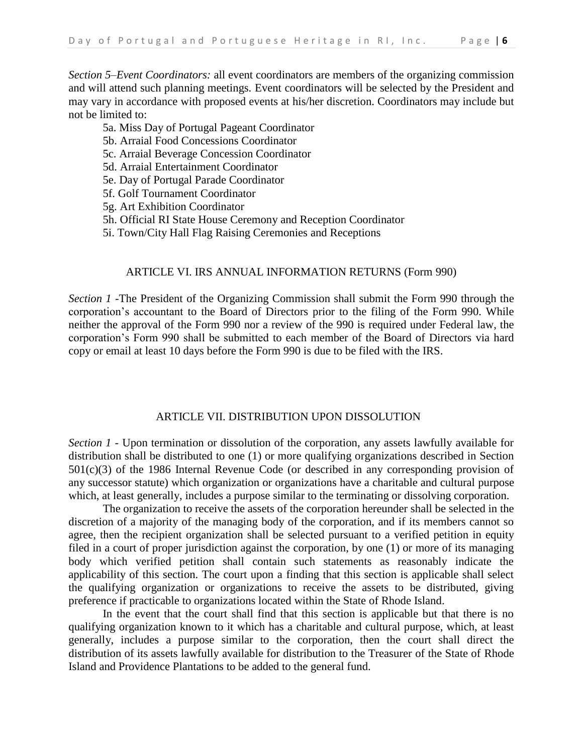*Section 5–Event Coordinators:* all event coordinators are members of the organizing commission and will attend such planning meetings*.* Event coordinators will be selected by the President and may vary in accordance with proposed events at his/her discretion. Coordinators may include but not be limited to:

- 5a. Miss Day of Portugal Pageant Coordinator
- 5b. Arraial Food Concessions Coordinator
- 5c. Arraial Beverage Concession Coordinator
- 5d. Arraial Entertainment Coordinator
- 5e. Day of Portugal Parade Coordinator
- 5f. Golf Tournament Coordinator
- 5g. Art Exhibition Coordinator
- 5h. Official RI State House Ceremony and Reception Coordinator
- 5i. Town/City Hall Flag Raising Ceremonies and Receptions

# ARTICLE VI. IRS ANNUAL INFORMATION RETURNS (Form 990)

*Section 1* -The President of the Organizing Commission shall submit the Form 990 through the corporation's accountant to the Board of Directors prior to the filing of the Form 990. While neither the approval of the Form 990 nor a review of the 990 is required under Federal law, the corporation's Form 990 shall be submitted to each member of the Board of Directors via hard copy or email at least 10 days before the Form 990 is due to be filed with the IRS.

#### ARTICLE VII. DISTRIBUTION UPON DISSOLUTION

*Section 1* - Upon termination or dissolution of the corporation, any assets lawfully available for distribution shall be distributed to one (1) or more qualifying organizations described in Section 501(c)(3) of the 1986 Internal Revenue Code (or described in any corresponding provision of any successor statute) which organization or organizations have a charitable and cultural purpose which, at least generally, includes a purpose similar to the terminating or dissolving corporation.

The organization to receive the assets of the corporation hereunder shall be selected in the discretion of a majority of the managing body of the corporation, and if its members cannot so agree, then the recipient organization shall be selected pursuant to a verified petition in equity filed in a court of proper jurisdiction against the corporation, by one (1) or more of its managing body which verified petition shall contain such statements as reasonably indicate the applicability of this section. The court upon a finding that this section is applicable shall select the qualifying organization or organizations to receive the assets to be distributed, giving preference if practicable to organizations located within the State of Rhode Island.

In the event that the court shall find that this section is applicable but that there is no qualifying organization known to it which has a charitable and cultural purpose, which, at least generally, includes a purpose similar to the corporation, then the court shall direct the distribution of its assets lawfully available for distribution to the Treasurer of the State of Rhode Island and Providence Plantations to be added to the general fund.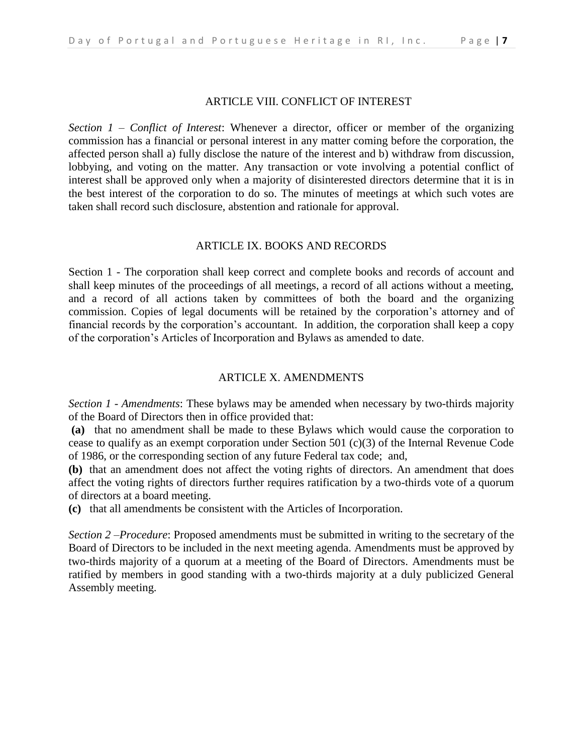### ARTICLE VIII. CONFLICT OF INTEREST

*Section 1 – Conflict of Interest*: Whenever a director, officer or member of the organizing commission has a financial or personal interest in any matter coming before the corporation, the affected person shall a) fully disclose the nature of the interest and b) withdraw from discussion, lobbying, and voting on the matter. Any transaction or vote involving a potential conflict of interest shall be approved only when a majority of disinterested directors determine that it is in the best interest of the corporation to do so. The minutes of meetings at which such votes are taken shall record such disclosure, abstention and rationale for approval.

# ARTICLE IX. BOOKS AND RECORDS

Section 1 - The corporation shall keep correct and complete books and records of account and shall keep minutes of the proceedings of all meetings, a record of all actions without a meeting, and a record of all actions taken by committees of both the board and the organizing commission. Copies of legal documents will be retained by the corporation's attorney and of financial records by the corporation's accountant. In addition, the corporation shall keep a copy of the corporation's Articles of Incorporation and Bylaws as amended to date.

# ARTICLE X. AMENDMENTS

*Section 1 - Amendments*: These bylaws may be amended when necessary by two-thirds majority of the Board of Directors then in office provided that:

**(a)** that no amendment shall be made to these Bylaws which would cause the corporation to cease to qualify as an exempt corporation under Section 501 (c)(3) of the Internal Revenue Code of 1986, or the corresponding section of any future Federal tax code; and,

**(b)** that an amendment does not affect the voting rights of directors. An amendment that does affect the voting rights of directors further requires ratification by a two-thirds vote of a quorum of directors at a board meeting.

**(c)** that all amendments be consistent with the Articles of Incorporation.

*Section 2 –Procedure*: Proposed amendments must be submitted in writing to the secretary of the Board of Directors to be included in the next meeting agenda. Amendments must be approved by two-thirds majority of a quorum at a meeting of the Board of Directors. Amendments must be ratified by members in good standing with a two-thirds majority at a duly publicized General Assembly meeting.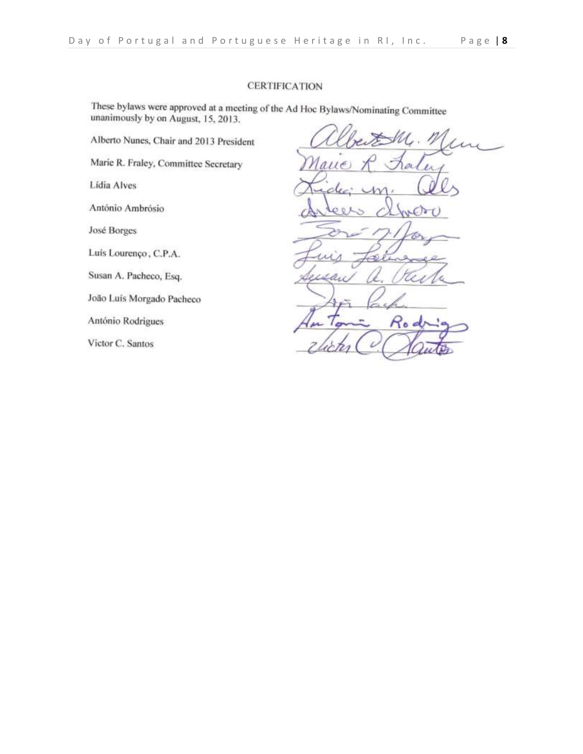### **CERTIFICATION**

These bylaws were approved at a meeting of the Ad Hoc Bylaws/Nominating Committee unanimously by on August, 15, 2013.

Alberto Nunes, Chair and 2013 President

Marie R. Fraley, Committee Secretary

Lidia Alves

António Ambrósio

José Borges

Luís Lourenço, C.P.A.

Susan A. Pacheco, Esq.

João Luís Morgado Pacheco

António Rodrigues

Victor C. Santos

 $\lambda$ WO  $d_{\mathcal{U}}$ Rod